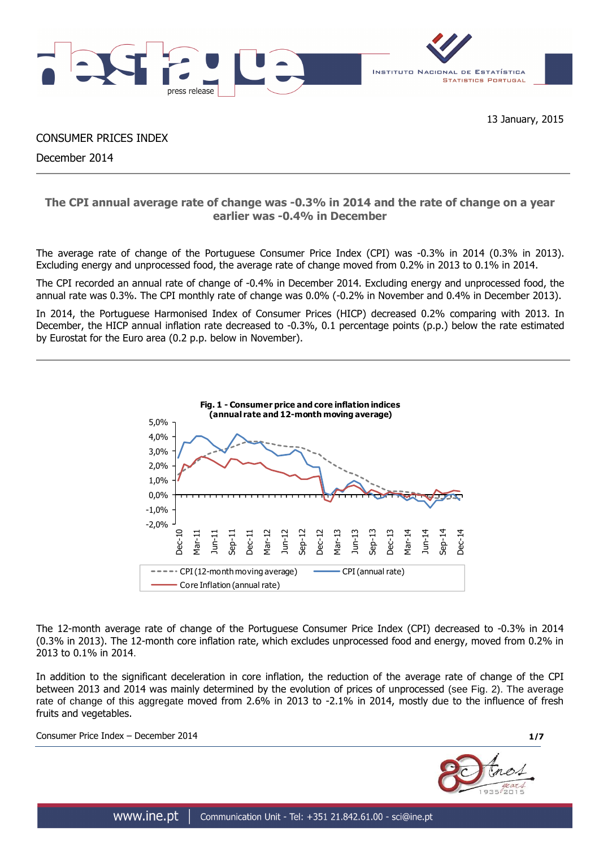

CONSUMER PRICES INDEX

December 2014

## **The CPI annual average rate of change was -0.3% in 2014 and the rate of change on a year earlier was -0.4% in December**

The average rate of change of the Portuguese Consumer Price Index (CPI) was -0.3% in 2014 (0.3% in 2013). Excluding energy and unprocessed food, the average rate of change moved from 0.2% in 2013 to 0.1% in 2014.

The CPI recorded an annual rate of change of -0.4% in December 2014. Excluding energy and unprocessed food, the annual rate was 0.3%. The CPI monthly rate of change was 0.0% (-0.2% in November and 0.4% in December 2013).

In 2014, the Portuguese Harmonised Index of Consumer Prices (HICP) decreased 0.2% comparing with 2013. In December, the HICP annual inflation rate decreased to -0.3%, 0.1 percentage points (p.p.) below the rate estimated by Eurostat for the Euro area (0.2 p.p. below in November).



The 12-month average rate of change of the Portuguese Consumer Price Index (CPI) decreased to -0.3% in 2014 (0.3% in 2013). The 12-month core inflation rate, which excludes unprocessed food and energy, moved from 0.2% in 2013 to 0.1% in 2014.

In addition to the significant deceleration in core inflation, the reduction of the average rate of change of the CPI between 2013 and 2014 was mainly determined by the evolution of prices of unprocessed (see Fig. 2). The average rate of change of this aggregate moved from 2.6% in 2013 to -2.1% in 2014, mostly due to the influence of fresh fruits and vegetables.

Consumer Price Index – December 2014 **1/7**

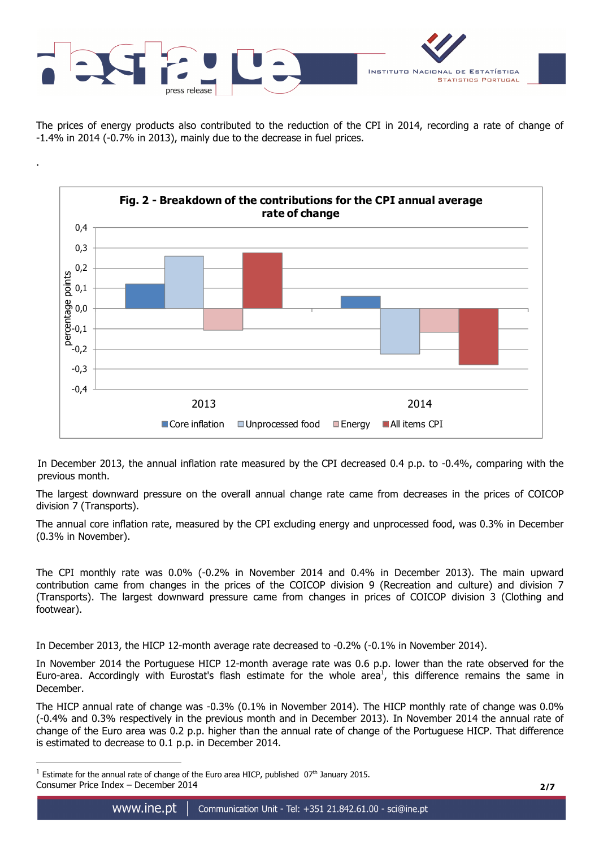

.

 $\overline{a}$ 



The prices of energy products also contributed to the reduction of the CPI in 2014, recording a rate of change of -1.4% in 2014 (-0.7% in 2013), mainly due to the decrease in fuel prices.



In December 2013, the annual inflation rate measured by the CPI decreased 0.4 p.p. to -0.4%, comparing with the previous month.

The largest downward pressure on the overall annual change rate came from decreases in the prices of COICOP division 7 (Transports).

The annual core inflation rate, measured by the CPI excluding energy and unprocessed food, was 0.3% in December (0.3% in November).

The CPI monthly rate was 0.0% (-0.2% in November 2014 and 0.4% in December 2013). The main upward contribution came from changes in the prices of the COICOP division 9 (Recreation and culture) and division 7 (Transports). The largest downward pressure came from changes in prices of COICOP division 3 (Clothing and footwear).

In December 2013, the HICP 12-month average rate decreased to -0.2% (-0.1% in November 2014).

In November 2014 the Portuguese HICP 12-month average rate was 0.6 p.p. lower than the rate observed for the Euro-area. Accordingly with Eurostat's flash estimate for the whole area<sup>1</sup>, this difference remains the same in December.

The HICP annual rate of change was -0.3% (0.1% in November 2014). The HICP monthly rate of change was 0.0% (-0.4% and 0.3% respectively in the previous month and in December 2013). In November 2014 the annual rate of change of the Euro area was 0.2 p.p. higher than the annual rate of change of the Portuguese HICP. That difference is estimated to decrease to 0.1 p.p. in December 2014.

Consumer Price Index – December 2014 **2/7**  $<sup>1</sup>$  Estimate for the annual rate of change of the Euro area HICP, published  $07<sup>th</sup>$  January 2015.</sup>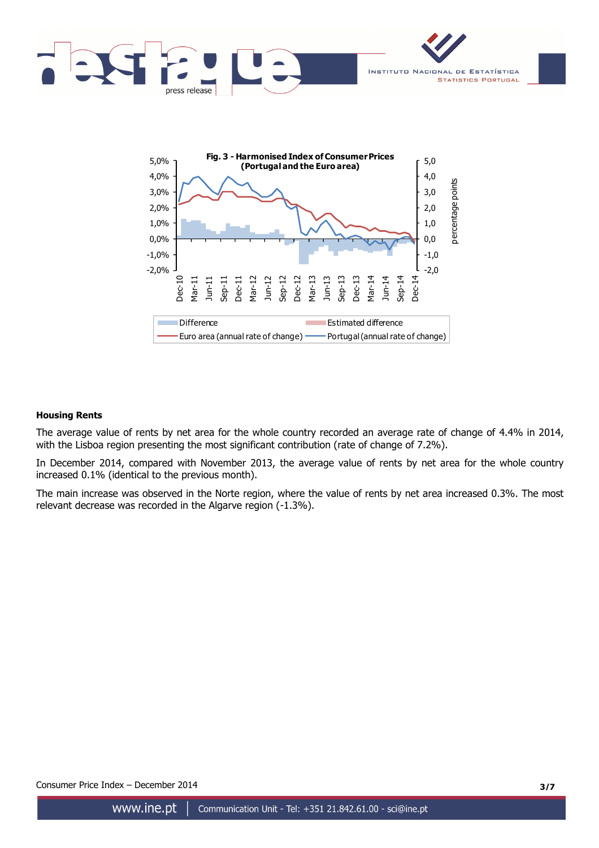



## **Housing Rents**

The average value of rents by net area for the whole country recorded an average rate of change of 4.4% in 2014, with the Lisboa region presenting the most significant contribution (rate of change of 7.2%).

In December 2014, compared with November 2013, the average value of rents by net area for the whole country increased 0.1% (identical to the previous month).

The main increase was observed in the Norte region, where the value of rents by net area increased 0.3%. The most relevant decrease was recorded in the Algarve region (-1.3%).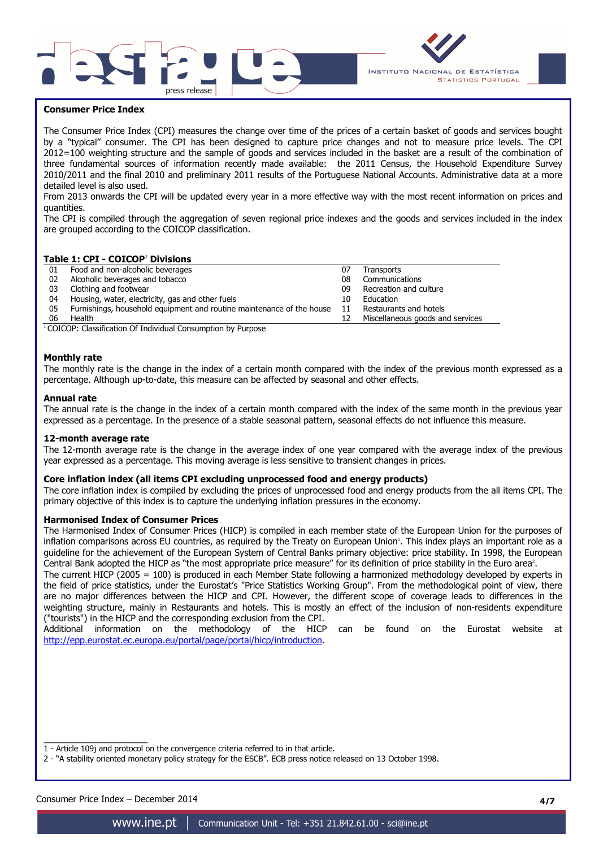



## **Consumer Price Index**

The Consumer Price Index (CPI) measures the change over time of the prices of a certain basket of goods and services bought by a "typical" consumer. The CPI has been designed to capture price changes and not to measure price levels. The CPI 2012=100 weighting structure and the sample of goods and services included in the basket are a result of the combination of three fundamental sources of information recently made available: the 2011 Census, the Household Expenditure Survey 2010/2011 and the final 2010 and preliminary 2011 results of the Portuguese National Accounts. Administrative data at a more detailed level is also used.

From 2013 onwards the CPI will be updated every year in a more effective way with the most recent information on prices and quantities.

The CPI is compiled through the aggregation of seven regional price indexes and the goods and services included in the index are grouped according to the COICOP classification.

#### **Table 1: CPI - COICOP<sup>1</sup> Divisions**

| 01 | Food and non-alcoholic beverages                                         | 07 | Transports                       |
|----|--------------------------------------------------------------------------|----|----------------------------------|
| 02 | Alcoholic beverages and tobacco                                          | 08 | Communications                   |
| 03 | Clothing and footwear                                                    | 09 | Recreation and culture           |
| 04 | Housing, water, electricity, gas and other fuels                         | 10 | Education                        |
| 05 | Furnishings, household equipment and routine maintenance of the house 11 |    | Restaurants and hotels           |
| 06 | Health                                                                   |    | Miscellaneous goods and services |

 $1$ COICOP: Classification Of Individual Consumption by Purpose

#### **Monthly rate**

The monthly rate is the change in the index of a certain month compared with the index of the previous month expressed as a percentage. Although up-to-date, this measure can be affected by seasonal and other effects.

#### **Annual rate**

The annual rate is the change in the index of a certain month compared with the index of the same month in the previous year expressed as a percentage. In the presence of a stable seasonal pattern, seasonal effects do not influence this measure.

#### **12-month average rate**

The 12-month average rate is the change in the average index of one year compared with the average index of the previous year expressed as a percentage. This moving average is less sensitive to transient changes in prices.

#### **Core inflation index (all items CPI excluding unprocessed food and energy products)**

The core inflation index is compiled by excluding the prices of unprocessed food and energy products from the all items CPI. The primary objective of this index is to capture the underlying inflation pressures in the economy.

#### **Harmonised Index of Consumer Prices**

The Harmonised Index of Consumer Prices (HICP) is compiled in each member state of the European Union for the purposes of inflation comparisons across EU countries, as required by the Treaty on European Union'. This index plays an important role as a guideline for the achievement of the European System of Central Banks primary objective: price stability. In 1998, the European Central Bank adopted the HICP as "the most appropriate price measure" for its definition of price stability in the Euro area<sup>2</sup>.

The current HICP (2005 = 100) is produced in each Member State following a harmonized methodology developed by experts in the field of price statistics, under the Eurostat's "Price Statistics Working Group". From the methodological point of view, there are no major differences between the HICP and CPI. However, the different scope of coverage leads to differences in the weighting structure, mainly in Restaurants and hotels. This is mostly an effect of the inclusion of non-residents expenditure ("tourists") in the HICP and the corresponding exclusion from the CPI.

Additional information on the methodology of the HICP can be found on the Eurostat website at http://epp.eurostat.ec.europa.eu/portal/page/portal/hicp/introduction.

 $\overline{\phantom{a}}$  , and the set of the set of the set of the set of the set of the set of the set of the set of the set of the set of the set of the set of the set of the set of the set of the set of the set of the set of the s 1 - Article 109j and protocol on the convergence criteria referred to in that article.

2 - "A stability oriented monetary policy strategy for the ESCB". ECB press notice released on 13 October 1998.

Consumer Price Index – December 2014 **4/7**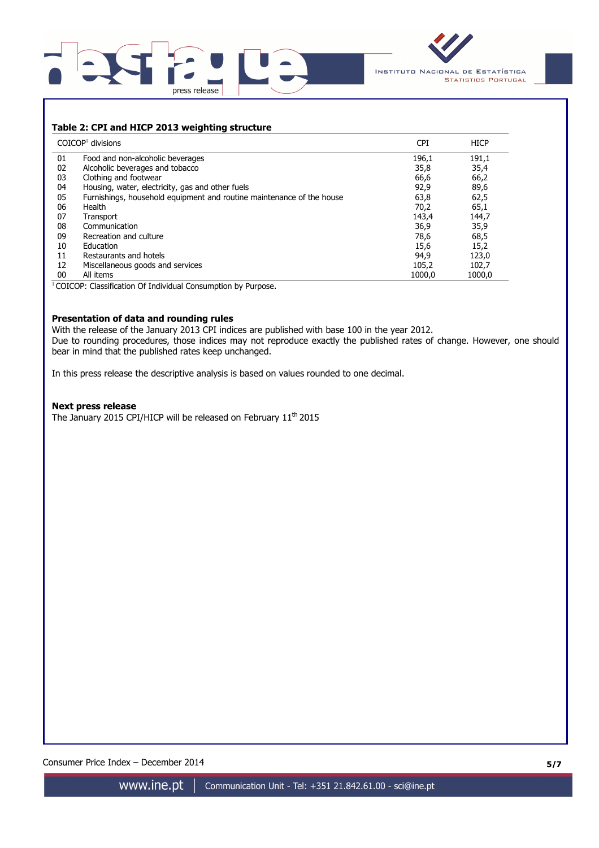



## **Table 2: CPI and HICP 2013 weighting structure**

|    | $COICOP1$ divisions                                                   | <b>CPI</b> | <b>HICP</b> |
|----|-----------------------------------------------------------------------|------------|-------------|
| 01 | Food and non-alcoholic beverages                                      | 196,1      | 191,1       |
| 02 | Alcoholic beverages and tobacco                                       | 35,8       | 35,4        |
| 03 | Clothing and footwear                                                 | 66,6       | 66,2        |
| 04 | Housing, water, electricity, gas and other fuels                      | 92,9       | 89,6        |
| 05 | Furnishings, household equipment and routine maintenance of the house | 63,8       | 62,5        |
| 06 | Health                                                                | 70,2       | 65,1        |
| 07 | Transport                                                             | 143,4      | 144,7       |
| 08 | Communication                                                         | 36,9       | 35,9        |
| 09 | Recreation and culture                                                | 78,6       | 68,5        |
| 10 | Education                                                             | 15,6       | 15,2        |
| 11 | Restaurants and hotels                                                | 94,9       | 123,0       |
| 12 | Miscellaneous goods and services                                      | 105,2      | 102,7       |
| 00 | All items                                                             | 1000.0     | 1000.0      |

<sup>1</sup>COICOP: Classification Of Individual Consumption by Purpose.

## **Presentation of data and rounding rules**

With the release of the January 2013 CPI indices are published with base 100 in the year 2012. Due to rounding procedures, those indices may not reproduce exactly the published rates of change. However, one should bear in mind that the published rates keep unchanged.

In this press release the descriptive analysis is based on values rounded to one decimal.

#### **Next press release**

The January 2015 CPI/HICP will be released on February 11<sup>th</sup> 2015

Consumer Price Index – December 2014 **5/7**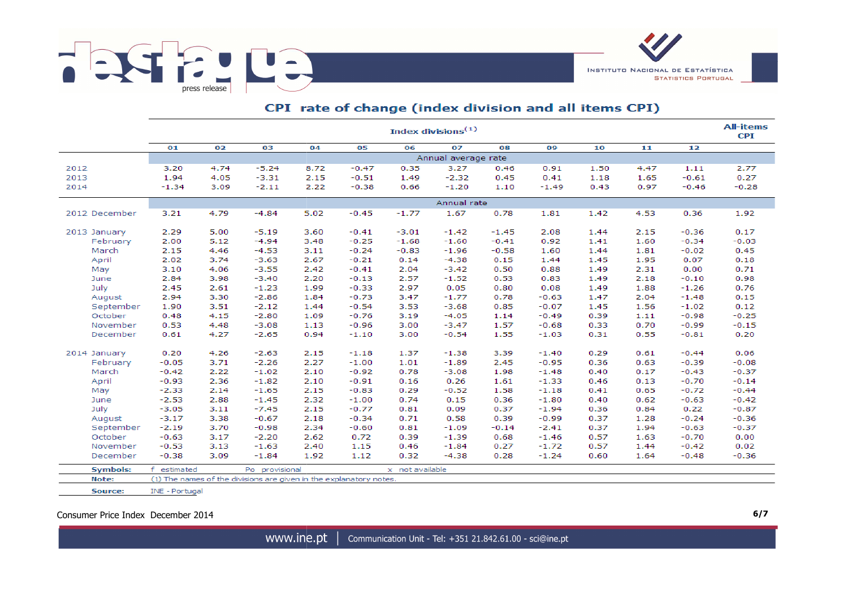



# CPI rate of change (index division and all items CPI)

|                 |                 | <b>All-items</b><br>Index divisions $(1)$ |                                                                    |      |         |                 |                     |         |         |      |      |         |         |  |  |
|-----------------|-----------------|-------------------------------------------|--------------------------------------------------------------------|------|---------|-----------------|---------------------|---------|---------|------|------|---------|---------|--|--|
|                 | 01              | 02                                        | 03                                                                 | 04   | 05      | 06              | 07                  | 08      | 09      | 10   | 11   | 12      |         |  |  |
|                 |                 |                                           |                                                                    |      |         |                 | Annual average rate |         |         |      |      |         |         |  |  |
| 2012            | 3.20            | 4.74                                      | $-5.24$                                                            | 8.72 | $-0.47$ | 0.35            | 3.27                | 0.46    | 0.91    | 1.50 | 4.47 | 1.11    | 2.77    |  |  |
| 2013            | 1.94            | 4.05                                      | $-3.31$                                                            | 2.15 | $-0.51$ | 1.49            | $-2.32$             | 0.45    | 0.41    | 1.18 | 1.65 | $-0.61$ | 0.27    |  |  |
| 2014            | $-1.34$         | 3.09                                      | $-2.11$                                                            | 2.22 | $-0.38$ | 0.66            | $-1.20$             | 1.10    | $-1.49$ | 0.43 | 0.97 | $-0.46$ | $-0.28$ |  |  |
|                 |                 |                                           |                                                                    |      |         |                 | Annual rate         |         |         |      |      |         |         |  |  |
| 2012 December   | 3.21            | 4.79                                      | $-4.84$                                                            | 5.02 | $-0.45$ | $-1.77$         | 1.67                | 0.78    | 1.81    | 1.42 | 4.53 | 0.36    | 1.92    |  |  |
|                 |                 |                                           |                                                                    |      |         |                 |                     |         |         |      |      |         |         |  |  |
| 2013 January    | 2.29            | 5.00                                      | $-5.19$                                                            | 3.60 | $-0.41$ | $-3.01$         | $-1.42$             | $-1.45$ | 2.08    | 1.44 | 2.15 | $-0.36$ | 0.17    |  |  |
| February        | 2.00            | 5.12                                      | $-4.94$                                                            | 3.48 | $-0.25$ | $-1.68$         | $-1.60$             | $-0.41$ | 0.92    | 1.41 | 1.60 | $-0.34$ | $-0.03$ |  |  |
| March           | 2.15            | 4.46                                      | $-4.53$                                                            | 3.11 | $-0.24$ | $-0.83$         | $-1.96$             | $-0.58$ | 1.60    | 1.44 | 1.81 | $-0.02$ | 0.45    |  |  |
| April           | 2.02            | 3.74                                      | $-3.63$                                                            | 2.67 | $-0.21$ | 0.14            | $-4.38$             | 0.15    | 1.44    | 1.45 | 1.95 | 0.07    | 0.18    |  |  |
| May             | 3.10            | 4.06                                      | $-3.55$                                                            | 2.42 | $-0.41$ | 2.04            | $-3.42$             | 0.50    | 0.88    | 1.49 | 2.31 | 0.00    | 0.71    |  |  |
| June            | 2.84            | 3.98                                      | $-3.40$                                                            | 2.20 | $-0.13$ | 2.57            | $-1.52$             | 0.53    | 0.83    | 1.49 | 2.18 | $-0.10$ | 0.98    |  |  |
| July            | 2.45            | 2.61                                      | $-1.23$                                                            | 1.99 | $-0.33$ | 2.97            | 0.05                | 0.80    | 0.08    | 1.49 | 1.88 | $-1.26$ | 0.76    |  |  |
| August          | 2.94            | 3.30                                      | $-2.86$                                                            | 1.84 | $-0.73$ | 3.47            | $-1.77$             | 0.78    | $-0.63$ | 1.47 | 2.04 | $-1.48$ | 0.15    |  |  |
| September       | 1.90            | 3.51                                      | $-2.12$                                                            | 1.44 | $-0.54$ | 3.53            | $-3.68$             | 0.85    | $-0.07$ | 1.45 | 1.56 | $-1.02$ | 0.12    |  |  |
| October         | 0.48            | 4.15                                      | $-2.80$                                                            | 1.09 | $-0.76$ | 3.19            | $-4.05$             | 1.14    | $-0.49$ | 0.39 | 1.11 | $-0.98$ | $-0.25$ |  |  |
| November        | 0.53            | 4.48                                      | $-3.08$                                                            | 1.13 | $-0.96$ | 3.00            | $-3.47$             | 1.57    | $-0.68$ | 0.33 | 0.70 | $-0.99$ | $-0.15$ |  |  |
| December        | 0.61            | 4.27                                      | $-2.65$                                                            | 0.94 | $-1.10$ | 3.00            | $-0.54$             | 1.55    | $-1.03$ | 0.31 | 0.55 | $-0.81$ | 0.20    |  |  |
| 2014 January    | 0.20            | 4.26                                      | $-2.63$                                                            | 2.15 | $-1.18$ | 1.37            | $-1.38$             | 3.39    | $-1.40$ | 0.29 | 0.61 | $-0.44$ | 0.06    |  |  |
| February        | $-0.05$         | 3.71                                      | $-2.26$                                                            | 2.27 | $-1.00$ | 1.01            | $-1.89$             | 2.45    | $-0.95$ | 0.36 | 0.63 | $-0.39$ | $-0.08$ |  |  |
| March           | $-0.42$         | 2.22                                      | $-1.02$                                                            | 2.10 | $-0.92$ | 0.78            | $-3.08$             | 1.98    | $-1.48$ | 0.40 | 0.17 | $-0.43$ | $-0.37$ |  |  |
| April           | $-0.93$         | 2.36                                      | $-1.82$                                                            | 2.10 | $-0.91$ | 0.16            | 0.26                | 1.61    | $-1.33$ | 0.46 | 0.13 | $-0.70$ | $-0.14$ |  |  |
| May             | $-2.33$         | 2.14                                      | $-1.65$                                                            | 2.15 | $-0.83$ | 0.29            | $-0.52$             | 1.58    | $-1.18$ | 0.41 | 0.65 | $-0.72$ | $-0.44$ |  |  |
| June            | $-2.53$         | 2.88                                      | $-1.45$                                                            | 2.32 | $-1.00$ | 0.74            | 0.15                | 0.36    | $-1.80$ | 0.40 | 0.62 | $-0.63$ | $-0.42$ |  |  |
| July            | $-3.05$         | 3.11                                      | $-7.45$                                                            | 2.15 | $-0.77$ | 0.81            | 0.09                | 0.37    | $-1.94$ | 0.36 | 0.84 | 0.22    | $-0.87$ |  |  |
| August          | $-3.17$         | 3.38                                      | $-0.67$                                                            | 2.18 | $-0.34$ | 0.71            | 0.58                | 0.39    | $-0.99$ | 0.37 | 1.28 | $-0.24$ | $-0.36$ |  |  |
| September       | $-2.19$         | 3.70                                      | $-0.98$                                                            | 2.34 | $-0.60$ | 0.81            | $-1.09$             | $-0.14$ | $-2.41$ | 0.37 | 1.94 | $-0.63$ | $-0.37$ |  |  |
| October         | $-0.63$         | 3.17                                      | $-2.20$                                                            | 2.62 | 0.72    | 0.39            | $-1.39$             | 0.68    | $-1.46$ | 0.57 | 1.63 | $-0.70$ | 0.00    |  |  |
| November        | $-0.53$         | 3.13                                      | $-1.63$                                                            | 2.40 | 1.15    | 0.46            | $-1.84$             | 0.27    | $-1.72$ | 0.57 | 1.44 | $-0.42$ | 0.02    |  |  |
| December        | $-0.38$         | 3.09                                      | $-1.84$                                                            | 1.92 | 1.12    | 0.32            | $-4.38$             | 0.28    | $-1.24$ | 0.60 | 1.64 | $-0.48$ | $-0.36$ |  |  |
|                 |                 |                                           |                                                                    |      |         |                 |                     |         |         |      |      |         |         |  |  |
| <b>Symbols:</b> | estimated<br>f. |                                           | Po provisional                                                     |      |         | x not available |                     |         |         |      |      |         |         |  |  |
| Note:           |                 |                                           | (1) The names of the divisions are given in the explanatory notes. |      |         |                 |                     |         |         |      |      |         |         |  |  |

INE - Portugal Source:

Consumer Price Index December 2014 **6/7**

www.ine.pt | Communication Unit - Tel: +351 21.842.61.00 - sci@ine.pt